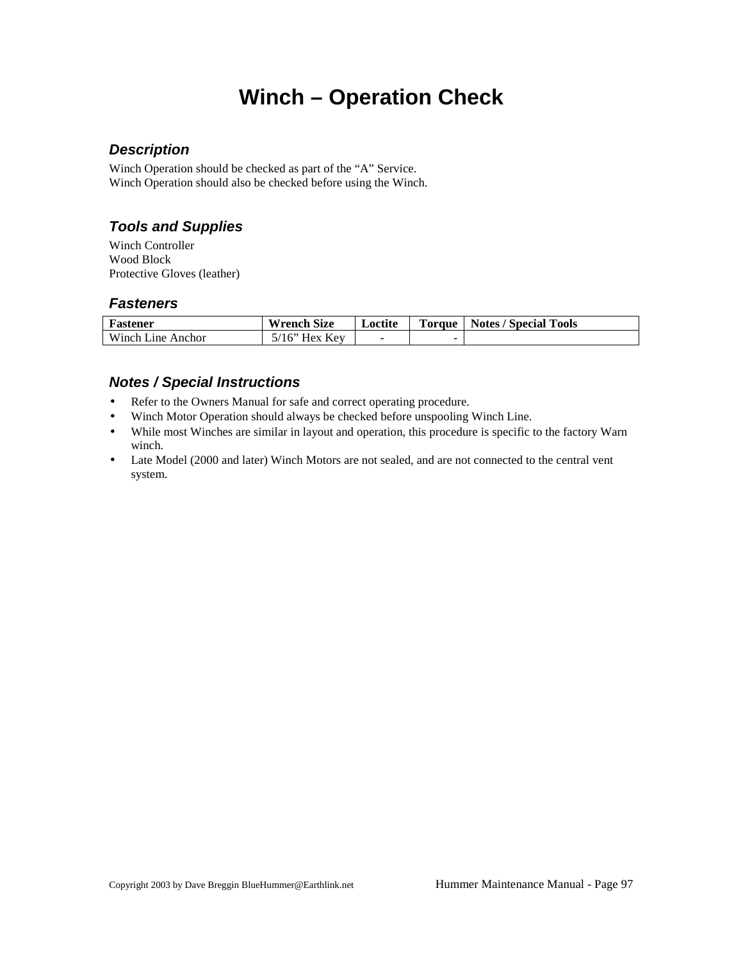# **Winch – Operation Check**

#### *Description*

Winch Operation should be checked as part of the "A" Service. Winch Operation should also be checked before using the Winch.

## *Tools and Supplies*

Winch Controller Wood Block Protective Gloves (leather)

#### *Fasteners*

| <b>Fastener</b>   | <b>Wrench Size</b> | Loctite | <b>Torque</b> | <b>Notes / Special Tools</b> |
|-------------------|--------------------|---------|---------------|------------------------------|
| Winch Line Anchor | $5/16$ " Hex Kev   | -       | -             |                              |

## *Notes / Special Instructions*

- Refer to the Owners Manual for safe and correct operating procedure.
- Winch Motor Operation should always be checked before unspooling Winch Line.
- While most Winches are similar in layout and operation, this procedure is specific to the factory Warn winch.
- Late Model (2000 and later) Winch Motors are not sealed, and are not connected to the central vent system.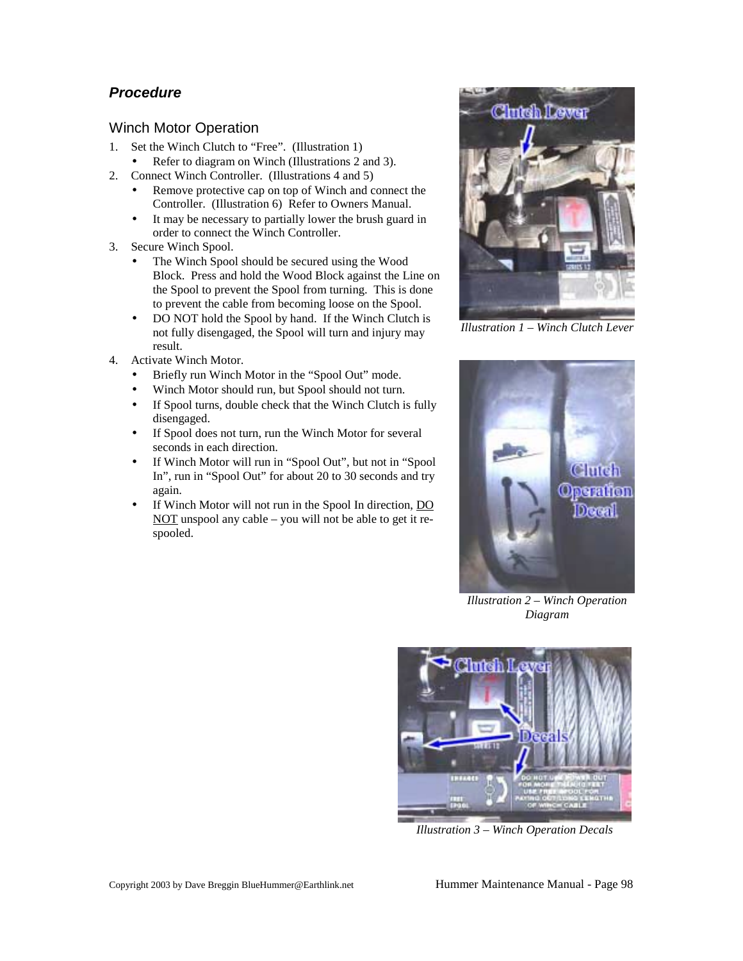## *Procedure*

### Winch Motor Operation

- 1. Set the Winch Clutch to "Free". (Illustration 1)
	- Refer to diagram on Winch (Illustrations 2 and 3).
- 2. Connect Winch Controller. (Illustrations 4 and 5)
	- Remove protective cap on top of Winch and connect the Controller. (Illustration 6) Refer to Owners Manual.
	- It may be necessary to partially lower the brush guard in order to connect the Winch Controller.
- 3. Secure Winch Spool.
	- The Winch Spool should be secured using the Wood Block. Press and hold the Wood Block against the Line on the Spool to prevent the Spool from turning. This is done to prevent the cable from becoming loose on the Spool.
	- DO NOT hold the Spool by hand. If the Winch Clutch is not fully disengaged, the Spool will turn and injury may result.
- 4. Activate Winch Motor.
	- Briefly run Winch Motor in the "Spool Out" mode.
	- Winch Motor should run, but Spool should not turn.
	- If Spool turns, double check that the Winch Clutch is fully disengaged.
	- If Spool does not turn, run the Winch Motor for several seconds in each direction.
	- If Winch Motor will run in "Spool Out", but not in "Spool In", run in "Spool Out" for about 20 to 30 seconds and try again.
	- If Winch Motor will not run in the Spool In direction, DO NOT unspool any cable – you will not be able to get it respooled.



*Illustration 1 – Winch Clutch Lever* 



*Illustration 2 – Winch Operation Diagram* 



*Illustration 3 – Winch Operation Decals*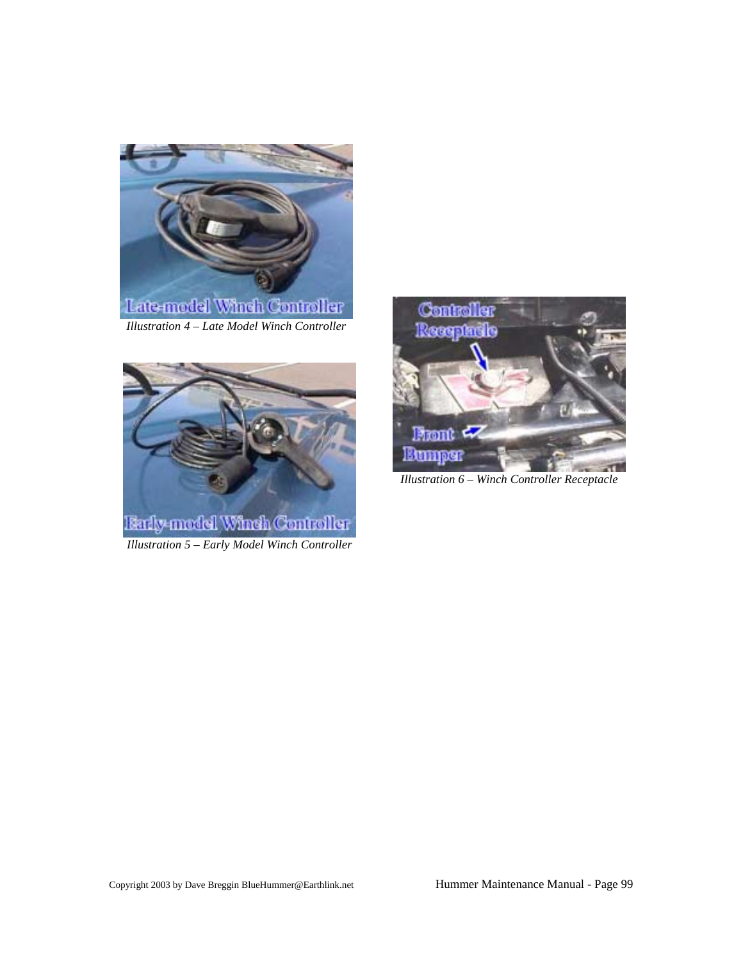

*Illustration 4 – Late Model Winch Controller* 





*Illustration 6 – Winch Controller Receptacle*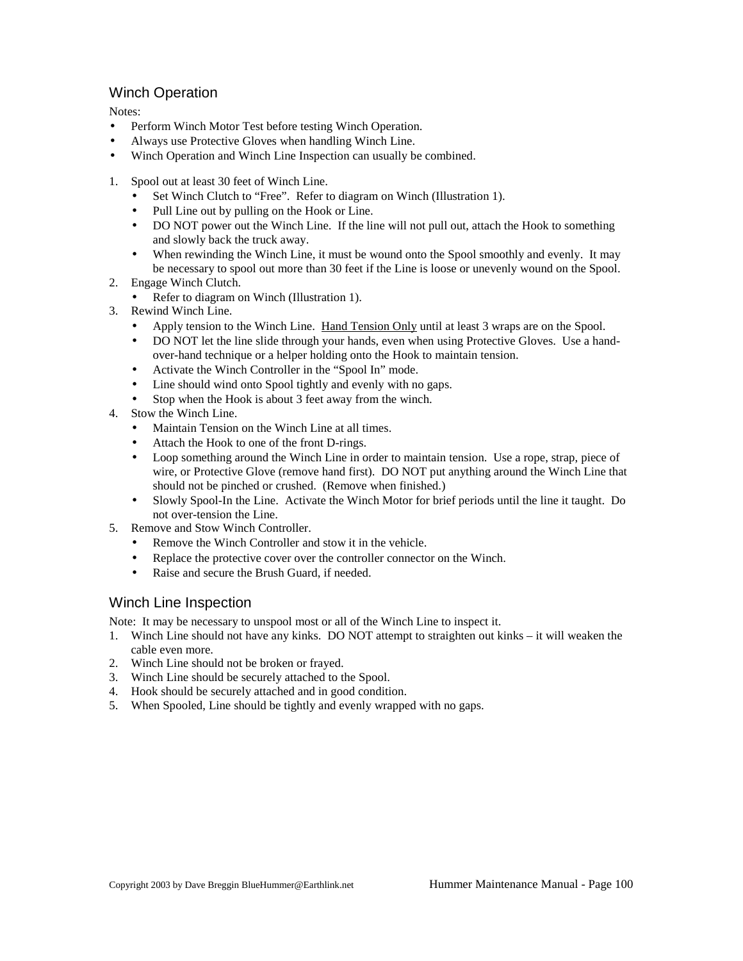## Winch Operation

Notes:

- Perform Winch Motor Test before testing Winch Operation.
- Always use Protective Gloves when handling Winch Line.
- Winch Operation and Winch Line Inspection can usually be combined.
- 1. Spool out at least 30 feet of Winch Line.
	- Set Winch Clutch to "Free". Refer to diagram on Winch (Illustration 1).
	- Pull Line out by pulling on the Hook or Line.
	- DO NOT power out the Winch Line. If the line will not pull out, attach the Hook to something and slowly back the truck away.
	- When rewinding the Winch Line, it must be wound onto the Spool smoothly and evenly. It may be necessary to spool out more than 30 feet if the Line is loose or unevenly wound on the Spool.
- 2. Engage Winch Clutch.
	- Refer to diagram on Winch (Illustration 1).
- 3. Rewind Winch Line.
	- Apply tension to the Winch Line. Hand Tension Only until at least 3 wraps are on the Spool.
	- DO NOT let the line slide through your hands, even when using Protective Gloves. Use a handover-hand technique or a helper holding onto the Hook to maintain tension.
	- Activate the Winch Controller in the "Spool In" mode.
	- Line should wind onto Spool tightly and evenly with no gaps.
	- Stop when the Hook is about 3 feet away from the winch.
- 4. Stow the Winch Line.
	- Maintain Tension on the Winch Line at all times.
	- Attach the Hook to one of the front D-rings.
	- Loop something around the Winch Line in order to maintain tension. Use a rope, strap, piece of wire, or Protective Glove (remove hand first). DO NOT put anything around the Winch Line that should not be pinched or crushed. (Remove when finished.)
	- Slowly Spool-In the Line. Activate the Winch Motor for brief periods until the line it taught. Do not over-tension the Line.
- 5. Remove and Stow Winch Controller.
	- Remove the Winch Controller and stow it in the vehicle.
	- Replace the protective cover over the controller connector on the Winch.
	- Raise and secure the Brush Guard, if needed.

#### Winch Line Inspection

Note: It may be necessary to unspool most or all of the Winch Line to inspect it.

- 1. Winch Line should not have any kinks. DO NOT attempt to straighten out kinks it will weaken the cable even more.
- 2. Winch Line should not be broken or frayed.
- 3. Winch Line should be securely attached to the Spool.
- 4. Hook should be securely attached and in good condition.
- 5. When Spooled, Line should be tightly and evenly wrapped with no gaps.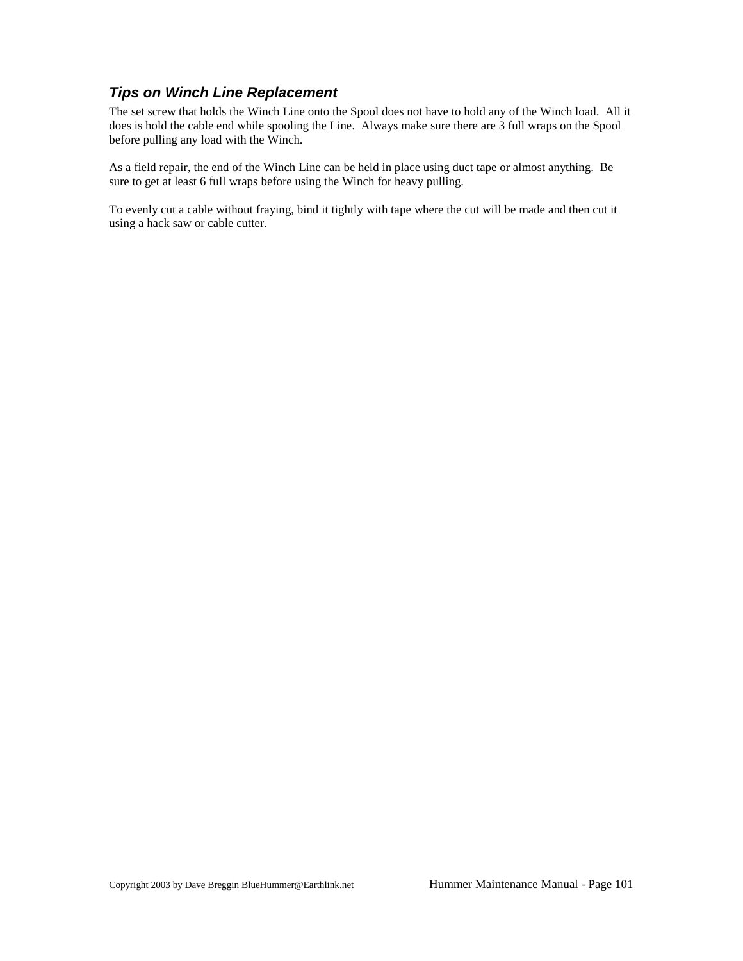## *Tips on Winch Line Replacement*

The set screw that holds the Winch Line onto the Spool does not have to hold any of the Winch load. All it does is hold the cable end while spooling the Line. Always make sure there are 3 full wraps on the Spool before pulling any load with the Winch.

As a field repair, the end of the Winch Line can be held in place using duct tape or almost anything. Be sure to get at least 6 full wraps before using the Winch for heavy pulling.

To evenly cut a cable without fraying, bind it tightly with tape where the cut will be made and then cut it using a hack saw or cable cutter.